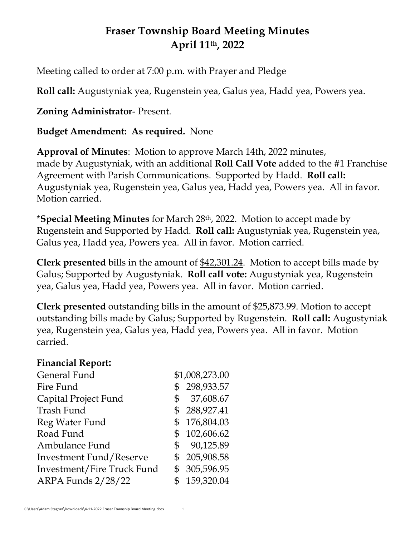# **Fraser Township Board Meeting Minutes April 11th , 2022**

Meeting called to order at 7:00 p.m. with Prayer and Pledge

**Roll call:** Augustyniak yea, Rugenstein yea, Galus yea, Hadd yea, Powers yea.

## **Zoning Administrator**- Present.

## **Budget Amendment: As required.** None

**Approval of Minutes**: Motion to approve March 14th, 2022 minutes, made by Augustyniak, with an additional **Roll Call Vote** added to the #1 Franchise Agreement with Parish Communications. Supported by Hadd. **Roll call:** Augustyniak yea, Rugenstein yea, Galus yea, Hadd yea, Powers yea. All in favor. Motion carried.

\***Special Meeting Minutes** for March 28th, 2022. Motion to accept made by Rugenstein and Supported by Hadd. **Roll call:** Augustyniak yea, Rugenstein yea, Galus yea, Hadd yea, Powers yea. All in favor. Motion carried.

**Clerk presented** bills in the amount of \$42,301.24. Motion to accept bills made by Galus; Supported by Augustyniak. **Roll call vote:** Augustyniak yea, Rugenstein yea, Galus yea, Hadd yea, Powers yea. All in favor. Motion carried.

**Clerk presented** outstanding bills in the amount of \$25,873.99. Motion to accept outstanding bills made by Galus; Supported by Rugenstein. **Roll call:** Augustyniak yea, Rugenstein yea, Galus yea, Hadd yea, Powers yea. All in favor. Motion carried.

#### **Financial Report:**

|              | \$1,008,273.00 |
|--------------|----------------|
|              | \$298,933.57   |
| \$           | 37,608.67      |
|              | \$288,927.41   |
| \$           | 176,804.03     |
| \$           | 102,606.62     |
| $\mathbb{S}$ | 90,125.89      |
|              | \$205,908.58   |
|              | \$ 305,596.95  |
|              | \$159,320.04   |
|              |                |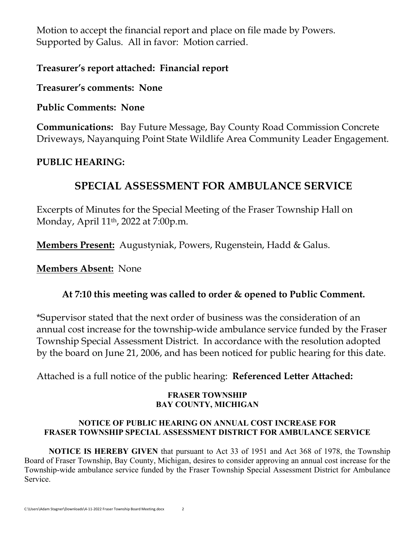Motion to accept the financial report and place on file made by Powers. Supported by Galus. All in favor: Motion carried.

## **Treasurer's report attached: Financial report**

#### **Treasurer's comments: None**

### **Public Comments: None**

**Communications:** Bay Future Message, Bay County Road Commission Concrete Driveways, Nayanquing Point State Wildlife Area Community Leader Engagement.

## **PUBLIC HEARING:**

## **SPECIAL ASSESSMENT FOR AMBULANCE SERVICE**

Excerpts of Minutes for the Special Meeting of the Fraser Township Hall on Monday, April 11th, 2022 at 7:00p.m.

**Members Present:** Augustyniak, Powers, Rugenstein, Hadd & Galus.

**Members Absent:** None

### **At 7:10 this meeting was called to order & opened to Public Comment.**

\*Supervisor stated that the next order of business was the consideration of an annual cost increase for the township-wide ambulance service funded by the Fraser Township Special Assessment District. In accordance with the resolution adopted by the board on June 21, 2006, and has been noticed for public hearing for this date.

Attached is a full notice of the public hearing: **Referenced Letter Attached:**

#### **FRASER TOWNSHIP BAY COUNTY, MICHIGAN**

#### **NOTICE OF PUBLIC HEARING ON ANNUAL COST INCREASE FOR FRASER TOWNSHIP SPECIAL ASSESSMENT DISTRICT FOR AMBULANCE SERVICE**

**NOTICE IS HEREBY GIVEN** that pursuant to Act 33 of 1951 and Act 368 of 1978, the Township Board of Fraser Township, Bay County, Michigan, desires to consider approving an annual cost increase for the Township-wide ambulance service funded by the Fraser Township Special Assessment District for Ambulance Service.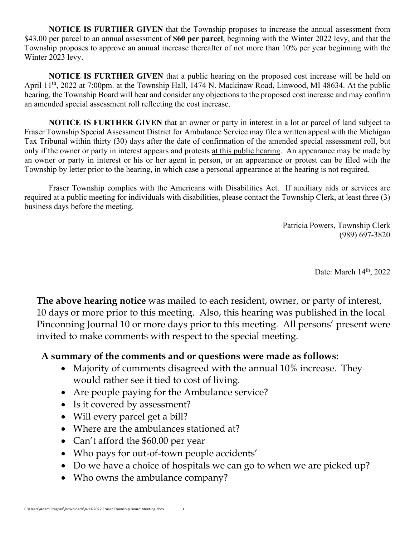**NOTICE IS FURTHER GIVEN** that the Township proposes to increase the annual assessment from \$43.00 per parcel to an annual assessment of **\$60 per parcel**, beginning with the Winter 2022 levy, and that the Township proposes to approve an annual increase thereafter of not more than 10% per year beginning with the Winter 2023 levy.

**NOTICE IS FURTHER GIVEN** that a public hearing on the proposed cost increase will be held on April 11<sup>th</sup>, 2022 at 7:00pm. at the Township Hall, 1474 N. Mackinaw Road, Linwood, MI 48634. At the public hearing, the Township Board will hear and consider any objections to the proposed cost increase and may confirm an amended special assessment roll reflecting the cost increase.

**NOTICE IS FURTHER GIVEN** that an owner or party in interest in a lot or parcel of land subject to Fraser Township Special Assessment District for Ambulance Service may file a written appeal with the Michigan Tax Tribunal within thirty (30) days after the date of confirmation of the amended special assessment roll, but only if the owner or party in interest appears and protests at this public hearing. An appearance may be made by an owner or party in interest or his or her agent in person, or an appearance or protest can be filed with the Township by letter prior to the hearing, in which case a personal appearance at the hearing is not required.

Fraser Township complies with the Americans with Disabilities Act. If auxiliary aids or services are required at a public meeting for individuals with disabilities, please contact the Township Clerk, at least three (3) business days before the meeting.

> Patricia Powers, Township Clerk (989) 697-3820

> > Date: March 14<sup>th</sup>, 2022

**The above hearing notice** was mailed to each resident, owner, or party of interest, 10 days or more prior to this meeting. Also, this hearing was published in the local Pinconning Journal 10 or more days prior to this meeting. All persons' present were invited to make comments with respect to the special meeting.

#### **A summary of the comments and or questions were made as follows:**

- Majority of comments disagreed with the annual 10% increase. They would rather see it tied to cost of living.
- Are people paying for the Ambulance service?
- Is it covered by assessment?
- Will every parcel get a bill?
- Where are the ambulances stationed at?
- Can't afford the \$60.00 per year
- Who pays for out-of-town people accidents'
- Do we have a choice of hospitals we can go to when we are picked up?
- Who owns the ambulance company?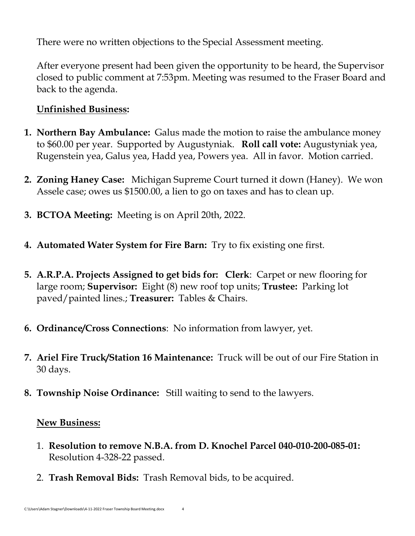There were no written objections to the Special Assessment meeting.

After everyone present had been given the opportunity to be heard, the Supervisor closed to public comment at 7:53pm. Meeting was resumed to the Fraser Board and back to the agenda.

## **Unfinished Business:**

- **1. Northern Bay Ambulance:** Galus made the motion to raise the ambulance money to \$60.00 per year. Supported by Augustyniak. **Roll call vote:** Augustyniak yea, Rugenstein yea, Galus yea, Hadd yea, Powers yea. All in favor. Motion carried.
- **2. Zoning Haney Case:** Michigan Supreme Court turned it down (Haney). We won Assele case; owes us \$1500.00, a lien to go on taxes and has to clean up.
- **3. BCTOA Meeting:** Meeting is on April 20th, 2022.
- **4. Automated Water System for Fire Barn:** Try to fix existing one first.
- **5. A.R.P.A. Projects Assigned to get bids for: Clerk**: Carpet or new flooring for large room; **Supervisor:** Eight (8) new roof top units; **Trustee:** Parking lot paved/painted lines.; **Treasurer:** Tables & Chairs.
- **6. Ordinance/Cross Connections**: No information from lawyer, yet.
- **7. Ariel Fire Truck/Station 16 Maintenance:** Truck will be out of our Fire Station in 30 days.
- **8. Township Noise Ordinance:** Still waiting to send to the lawyers.

## **New Business:**

- 1. **Resolution to remove N.B.A. from D. Knochel Parcel 040-010-200-085-01:**  Resolution 4-328-22 passed.
- 2. **Trash Removal Bids:** Trash Removal bids, to be acquired.